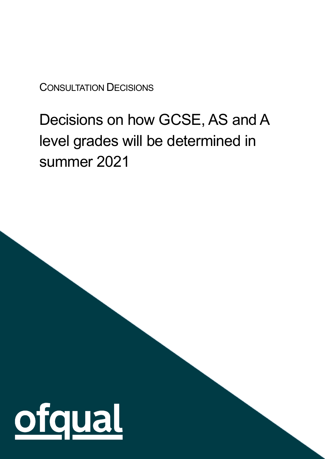CONSULTATION DECISIONS

# Decisions on how GCSE, AS and A level grades will be determined in summer 2021

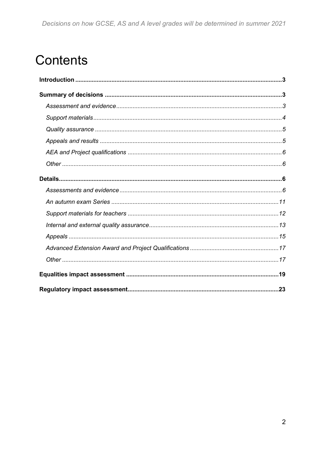## **Contents**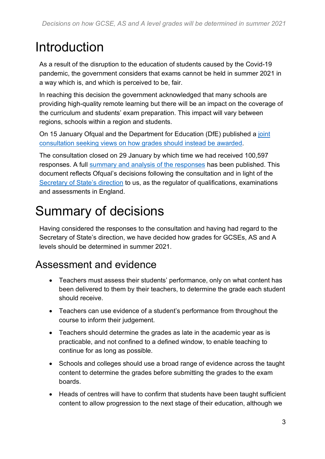## <span id="page-2-0"></span>Introduction

As a result of the disruption to the education of students caused by the Covid-19 pandemic, the government considers that exams cannot be held in summer 2021 in a way which is, and which is perceived to be, fair.

In reaching this decision the government acknowledged that many schools are providing high-quality remote learning but there will be an impact on the coverage of the curriculum and students' exam preparation. This impact will vary between regions, schools within a region and students.

On 15 January Ofqual and the Department for Education (DfE) published a [joint](https://www.gov.uk/government/consultations/consultation-on-how-gcse-as-and-a-level-grades-should-be-awarded-in-summer-2021) [consultation](https://www.gov.uk/government/consultations/consultation-on-how-gcse-as-and-a-level-grades-should-be-awarded-in-summer-2021) seeking views on how grades should instead be awarded.

The consultation closed on 29 January by which time we had received 100,597 responses. A full summary and analysis of the [responses](https://www.gov.uk/government/consultations/consultation-on-how-gcse-as-and-a-level-grades-should-be-awarded-in-summer-2021) has been published. This document reflects Ofqual's decisions following the consultation and in light of the [Secretary](https://www.gov.uk/government/publications/direction-issued-to-ofqual) of State's direction to us, as the regulator of qualifications, examinations and assessments in England.

## <span id="page-2-1"></span>Summary of decisions

Having considered the responses to the consultation and having had regard to the Secretary of State's direction, we have decided how grades for GCSEs, AS and A levels should be determined in summer 2021.

#### <span id="page-2-2"></span>Assessment and evidence

- Teachers must assess their students' performance, only on what content has been delivered to them by their teachers, to determine the grade each student should receive.
- Teachers can use evidence of a student's performance from throughout the course to inform their judgement.
- Teachers should determine the grades as late in the academic year as is practicable, and not confined to a defined window, to enable teaching to continue for as long as possible.
- Schools and colleges should use a broad range of evidence across the taught content to determine the grades before submitting the grades to the exam boards.
- Heads of centres will have to confirm that students have been taught sufficient content to allow progression to the next stage of their education, although we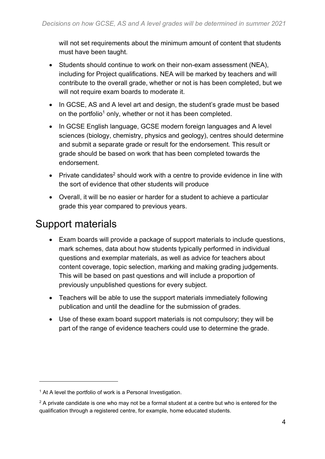will not set requirements about the minimum amount of content that students must have been taught.

- Students should continue to work on their non-exam assessment (NEA), including for Project qualifications. NEA will be marked by teachers and will contribute to the overall grade, whether or not is has been completed, but we will not require exam boards to moderate it.
- In GCSE, AS and A level art and design, the student's grade must be based on the portfolio<sup>1</sup> only, whether or not it has been completed.
- In GCSE English language, GCSE modern foreign languages and A level sciences (biology, chemistry, physics and geology), centres should determine and submit a separate grade or result for the endorsement. This result or grade should be based on work that has been completed towards the endorsement.
- Private candidates<sup>2</sup> should work with a centre to provide evidence in line with the sort of evidence that other students will produce
- Overall, it will be no easier or harder for a student to achieve a particular grade this year compared to previous years.

#### <span id="page-3-0"></span>Support materials

- Exam boards will provide a package of support materials to include questions, mark schemes, data about how students typically performed in individual questions and exemplar materials, as well as advice for teachers about content coverage, topic selection, marking and making grading judgements. This will be based on past questions and will include a proportion of previously unpublished questions for every subject.
- Teachers will be able to use the support materials immediately following publication and until the deadline for the submission of grades.
- Use of these exam board support materials is not compulsory; they will be part of the range of evidence teachers could use to determine the grade.

<sup>&</sup>lt;sup>1</sup> At A level the portfolio of work is a Personal Investigation.

 $2$  A private candidate is one who may not be a formal student at a centre but who is entered for the qualification through a registered centre, for example, home educated students.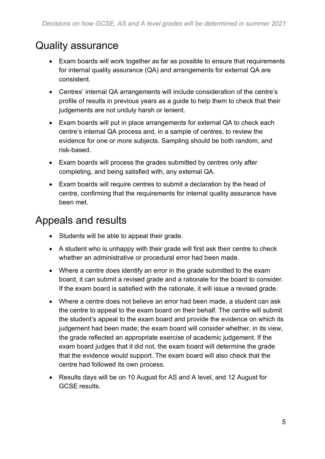#### <span id="page-4-0"></span>Quality assurance

- Exam boards will work together as far as possible to ensure that requirements for internal quality assurance (QA) and arrangements for external QA are consistent.
- Centres' internal QA arrangements will include consideration of the centre's profile of results in previous years as a guide to help them to check that their judgements are not unduly harsh or lenient.
- Exam boards will put in place arrangements for external QA to check each centre's internal QA process and, in a sample of centres, to review the evidence for one or more subjects. Sampling should be both random, and risk-based.
- Exam boards will process the grades submitted by centres only after completing, and being satisfied with, any external QA.
- Exam boards will require centres to submit a declaration by the head of centre, confirming that the requirements for internal quality assurance have been met.

#### <span id="page-4-1"></span>Appeals and results

- Students will be able to appeal their grade.
- A student who is unhappy with their grade will first ask their centre to check whether an administrative or procedural error had been made.
- Where a centre does identify an error in the grade submitted to the exam board, it can submit a revised grade and a rationale for the board to consider. If the exam board is satisfied with the rationale, it will issue a revised grade.
- Where a centre does not believe an error had been made, a student can ask the centre to appeal to the exam board on their behalf. The centre will submit the student's appeal to the exam board and provide the evidence on which its judgement had been made; the exam board will consider whether, in its view, the grade reflected an appropriate exercise of academic judgement. If the exam board judges that it did not, the exam board will determine the grade that the evidence would support. The exam board will also check that the centre had followed its own process.
- Results days will be on 10 August for AS and A level, and 12 August for GCSE results.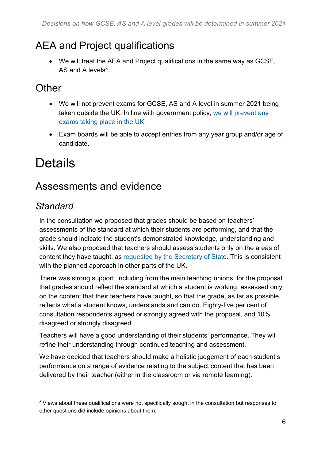#### <span id="page-5-0"></span>AEA and Project qualifications

• We will treat the AEA and Project qualifications in the same way as GCSE, AS and A levels $3$ .

#### <span id="page-5-1"></span>**Other**

- We will not prevent exams for GCSE, AS and A level in summer 2021 being taken outside the UK. In line with government policy, we will [prevent](https://www.gov.uk/government/publications/direction-issued-to-ofqual) any [exams](https://www.gov.uk/government/publications/direction-issued-to-ofqual) taking place in the UK.
- Exam boards will be able to accept entries from any year group and/or age of candidate.

## <span id="page-5-2"></span>**Details**

#### <span id="page-5-3"></span>Assessments and evidence

#### *Standard*

In the consultation we proposed that grades should be based on teachers' assessments of the standard at which their students are performing, and that the grade should indicate the student's demonstrated knowledge, understanding and skills. We also proposed that teachers should assess students only on the areas of content they have taught, as [requested](https://www.gov.uk/government/publications/letter-from-gavin-williamson-to-simon-lebus) by the Secretary of State. This is consistent with the planned approach in other parts of the UK.

There was strong support, including from the main teaching unions, for the proposal that grades should reflect the standard at which a student is working, assessed only on the content that their teachers have taught, so that the grade, as far as possible, reflects what a student knows, understands and can do. Eighty-five per cent of consultation respondents agreed or strongly agreed with the proposal, and 10% disagreed or strongly disagreed.

Teachers will have a good understanding of their students' performance. They will refine their understanding through continued teaching and assessment.

We have decided that teachers should make a holistic judgement of each student's performance on a range of evidence relating to the subject content that has been delivered by their teacher (either in the classroom or via remote learning).

<sup>&</sup>lt;sup>3</sup> Views about these qualifications were not specifically sought in the consultation but responses to other questions did include opinions about them.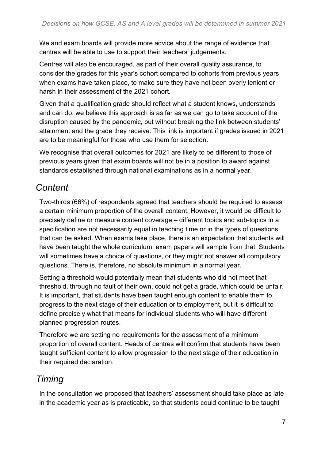We and exam boards will provide more advice about the range of evidence that centres will be able to use to support their teachers' judgements.

Centres will also be encouraged, as part of their overall quality assurance, to consider the grades for this year's cohort compared to cohorts from previous years when exams have taken place, to make sure they have not been overly lenient or harsh in their assessment of the 2021 cohort.

Given that a qualification grade should reflect what a student knows, understands and can do, we believe this approach is as far as we can go to take account of the disruption caused by the pandemic, but without breaking the link between students' attainment and the grade they receive. This link is important if grades issued in 2021 are to be meaningful for those who use them for selection.

We recognise that overall outcomes for 2021 are likely to be different to those of previous years given that exam boards will not be in a position to award against standards established through national examinations as in a normal year.

#### *Content*

Two-thirds (66%) of respondents agreed that teachers should be required to assess a certain minimum proportion of the overall content. However, it would be difficult to precisely define or measure content coverage – different topics and sub-topics in a specification are not necessarily equal in teaching time or in the types of questions that can be asked. When exams take place, there is an expectation that students will have been taught the whole curriculum, exam papers will sample from that. Students will sometimes have a choice of questions, or they might not answer all compulsory questions. There is, therefore, no absolute minimum in a normal year.

Setting a threshold would potentially mean that students who did not meet that threshold, through no fault of their own, could not get a grade, which could be unfair. It is important, that students have been taught enough content to enable them to progress to the next stage of their education or to employment, but it is difficult to define precisely what that means for individual students who will have different planned progression routes.

Therefore we are setting no requirements for the assessment of a minimum proportion of overall content. Heads of centres will confirm that students have been taught sufficient content to allow progression to the next stage of their education in their required declaration.

#### *Timing*

In the consultation we proposed that teachers' assessment should take place as late in the academic year as is practicable, so that students could continue to be taught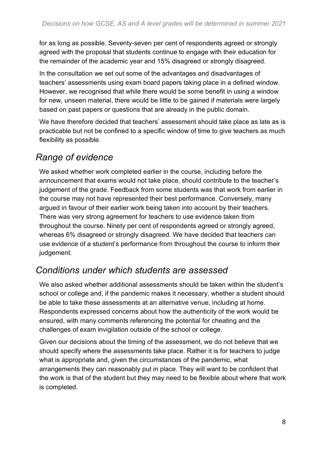for as long as possible. Seventy-seven per cent of respondents agreed or strongly agreed with the proposal that students continue to engage with their education for the remainder of the academic year and 15% disagreed or strongly disagreed.

In the consultation we set out some of the advantages and disadvantages of teachers' assessments using exam board papers taking place in a defined window. However, we recognised that while there would be some benefit in using a window for new, unseen material, there would be little to be gained if materials were largely based on past papers or questions that are already in the public domain.

We have therefore decided that teachers' assessment should take place as late as is practicable but not be confined to a specific window of time to give teachers as much flexibility as possible.

#### *Range of evidence*

We asked whether work completed earlier in the course, including before the announcement that exams would not take place, should contribute to the teacher's judgement of the grade. Feedback from some students was that work from earlier in the course may not have represented their best performance. Conversely, many argued in favour of their earlier work being taken into account by their teachers. There was very strong agreement for teachers to use evidence taken from throughout the course. Ninety per cent of respondents agreed or strongly agreed, whereas 6% disagreed or strongly disagreed. We have decided that teachers can use evidence of a student's performance from throughout the course to inform their judgement.

#### *Conditions under which students are assessed*

We also asked whether additional assessments should be taken within the student's school or college and, if the pandemic makes it necessary, whether a student should be able to take these assessments at an alternative venue, including at home. Respondents expressed concerns about how the authenticity of the work would be ensured, with many comments referencing the potential for cheating and the challenges of exam invigilation outside of the school or college.

Given our decisions about the timing of the assessment, we do not believe that we should specify where the assessments take place. Rather it is for teachers to judge what is appropriate and, given the circumstances of the pandemic, what arrangements they can reasonably put in place. They will want to be confident that the work is that of the student but they may need to be flexible about where that work is completed.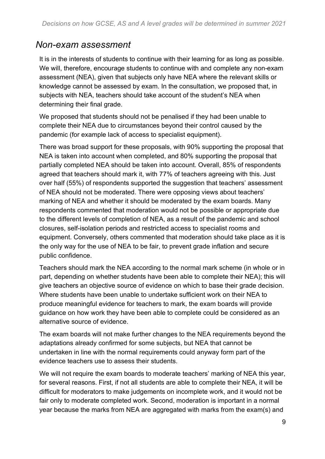#### *Non-exam assessment*

It is in the interests of students to continue with their learning for as long as possible. We will, therefore, encourage students to continue with and complete any non-exam assessment (NEA), given that subjects only have NEA where the relevant skills or knowledge cannot be assessed by exam. In the consultation, we proposed that, in subjects with NEA, teachers should take account of the student's NEA when determining their final grade.

We proposed that students should not be penalised if they had been unable to complete their NEA due to circumstances beyond their control caused by the pandemic (for example lack of access to specialist equipment).

There was broad support for these proposals, with 90% supporting the proposal that NEA is taken into account when completed, and 80% supporting the proposal that partially completed NEA should be taken into account. Overall, 85% of respondents agreed that teachers should mark it, with 77% of teachers agreeing with this. Just over half (55%) of respondents supported the suggestion that teachers' assessment of NEA should not be moderated. There were opposing views about teachers' marking of NEA and whether it should be moderated by the exam boards. Many respondents commented that moderation would not be possible or appropriate due to the different levels of completion of NEA, as a result of the pandemic and school closures, self-isolation periods and restricted access to specialist rooms and equipment. Conversely, others commented that moderation should take place as it is the only way for the use of NEA to be fair, to prevent grade inflation and secure public confidence.

Teachers should mark the NEA according to the normal mark scheme (in whole or in part, depending on whether students have been able to complete their NEA); this will give teachers an objective source of evidence on which to base their grade decision. Where students have been unable to undertake sufficient work on their NEA to produce meaningful evidence for teachers to mark, the exam boards will provide guidance on how work they have been able to complete could be considered as an alternative source of evidence.

The exam boards will not make further changes to the NEA requirements beyond the adaptations already confirmed for some subjects, but NEA that cannot be undertaken in line with the normal requirements could anyway form part of the evidence teachers use to assess their students.

We will not require the exam boards to moderate teachers' marking of NEA this year, for several reasons. First, if not all students are able to complete their NEA, it will be difficult for moderators to make judgements on incomplete work, and it would not be fair only to moderate completed work. Second, moderation is important in a normal year because the marks from NEA are aggregated with marks from the exam(s) and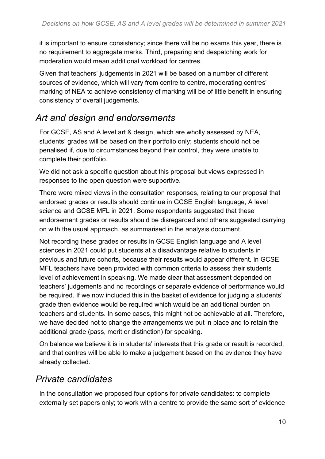it is important to ensure consistency; since there will be no exams this year, there is no requirement to aggregate marks. Third, preparing and despatching work for moderation would mean additional workload for centres.

Given that teachers' judgements in 2021 will be based on a number of different sources of evidence, which will vary from centre to centre, moderating centres' marking of NEA to achieve consistency of marking will be of little benefit in ensuring consistency of overall judgements.

#### *Art and design and endorsements*

For GCSE, AS and A level art & design, which are wholly assessed by NEA, students' grades will be based on their portfolio only; students should not be penalised if, due to circumstances beyond their control, they were unable to complete their portfolio.

We did not ask a specific question about this proposal but views expressed in responses to the open question were supportive.

There were mixed views in the consultation responses, relating to our proposal that endorsed grades or results should continue in GCSE English language, A level science and GCSE MFL in 2021. Some respondents suggested that these endorsement grades or results should be disregarded and others suggested carrying on with the usual approach, as summarised in the analysis document.

Not recording these grades or results in GCSE English language and A level sciences in 2021 could put students at a disadvantage relative to students in previous and future cohorts, because their results would appear different. In GCSE MFL teachers have been provided with common criteria to assess their students level of achievement in speaking. We made clear that assessment depended on teachers' judgements and no recordings or separate evidence of performance would be required. If we now included this in the basket of evidence for judging a students' grade then evidence would be required which would be an additional burden on teachers and students. In some cases, this might not be achievable at all. Therefore, we have decided not to change the arrangements we put in place and to retain the additional grade (pass, merit or distinction) for speaking.

On balance we believe it is in students' interests that this grade or result is recorded, and that centres will be able to make a judgement based on the evidence they have already collected.

#### *Private candidates*

In the consultation we proposed four options for private candidates: to complete externally set papers only; to work with a centre to provide the same sort of evidence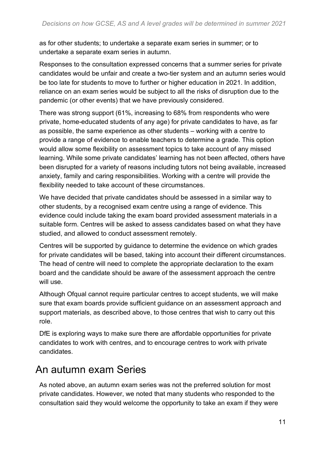as for other students; to undertake a separate exam series in summer; or to undertake a separate exam series in autumn.

Responses to the consultation expressed concerns that a summer series for private candidates would be unfair and create a two-tier system and an autumn series would be too late for students to move to further or higher education in 2021. In addition, reliance on an exam series would be subject to all the risks of disruption due to the pandemic (or other events) that we have previously considered.

There was strong support (61%, increasing to 68% from respondents who were private, home-educated students of any age) for private candidates to have, as far as possible, the same experience as other students – working with a centre to provide a range of evidence to enable teachers to determine a grade. This option would allow some flexibility on assessment topics to take account of any missed learning. While some private candidates' learning has not been affected, others have been disrupted for a variety of reasons including tutors not being available, increased anxiety, family and caring responsibilities. Working with a centre will provide the flexibility needed to take account of these circumstances.

We have decided that private candidates should be assessed in a similar way to other students, by a recognised exam centre using a range of evidence. This evidence could include taking the exam board provided assessment materials in a suitable form. Centres will be asked to assess candidates based on what they have studied, and allowed to conduct assessment remotely.

Centres will be supported by guidance to determine the evidence on which grades for private candidates will be based, taking into account their different circumstances. The head of centre will need to complete the appropriate declaration to the exam board and the candidate should be aware of the assessment approach the centre will use.

Although Ofqual cannot require particular centres to accept students, we will make sure that exam boards provide sufficient guidance on an assessment approach and support materials, as described above, to those centres that wish to carry out this role.

DfE is exploring ways to make sure there are affordable opportunities for private candidates to work with centres, and to encourage centres to work with private candidates.

#### <span id="page-10-0"></span>An autumn exam Series

As noted above, an autumn exam series was not the preferred solution for most private candidates. However, we noted that many students who responded to the consultation said they would welcome the opportunity to take an exam if they were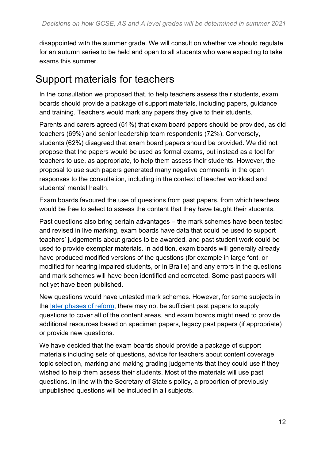disappointed with the summer grade. We will consult on whether we should regulate for an autumn series to be held and open to all students who were expecting to take exams this summer.

#### <span id="page-11-0"></span>Support materials for teachers

In the consultation we proposed that, to help teachers assess their students, exam boards should provide a package of support materials, including papers, guidance and training. Teachers would mark any papers they give to their students.

Parents and carers agreed (51%) that exam board papers should be provided, as did teachers (69%) and senior leadership team respondents (72%). Conversely, students (62%) disagreed that exam board papers should be provided. We did not propose that the papers would be used as formal exams, but instead as a tool for teachers to use, as appropriate, to help them assess their students. However, the proposal to use such papers generated many negative comments in the open responses to the consultation, including in the context of teacher workload and students' mental health.

Exam boards favoured the use of questions from past papers, from which teachers would be free to select to assess the content that they have taught their students.

Past questions also bring certain advantages – the mark schemes have been tested and revised in live marking, exam boards have data that could be used to support teachers' judgements about grades to be awarded, and past student work could be used to provide exemplar materials. In addition, exam boards will generally already have produced modified versions of the questions (for example in large font, or modified for hearing impaired students, or in Braille) and any errors in the questions and mark schemes will have been identified and corrected. Some past papers will not yet have been published.

New questions would have untested mark schemes. However, for some subjects in the later [phases](https://www.gov.uk/government/publications/timeline-of-changes-to-gcses-as-and-a-levels) of reform, there may not be sufficient past papers to supply questions to cover all of the content areas, and exam boards might need to provide additional resources based on specimen papers, legacy past papers (if appropriate) or provide new questions.

We have decided that the exam boards should provide a package of support materials including sets of questions, advice for teachers about content coverage, topic selection, marking and making grading judgements that they could use if they wished to help them assess their students. Most of the materials will use past questions. In line with the Secretary of State's policy, a proportion of previously unpublished questions will be included in all subjects.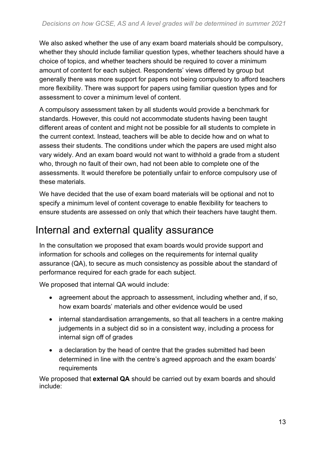We also asked whether the use of any exam board materials should be compulsory, whether they should include familiar question types, whether teachers should have a choice of topics, and whether teachers should be required to cover a minimum amount of content for each subject. Respondents' views differed by group but generally there was more support for papers not being compulsory to afford teachers more flexibility. There was support for papers using familiar question types and for assessment to cover a minimum level of content.

A compulsory assessment taken by all students would provide a benchmark for standards. However, this could not accommodate students having been taught different areas of content and might not be possible for all students to complete in the current context. Instead, teachers will be able to decide how and on what to assess their students. The conditions under which the papers are used might also vary widely. And an exam board would not want to withhold a grade from a student who, through no fault of their own, had not been able to complete one of the assessments. It would therefore be potentially unfair to enforce compulsory use of these materials.

We have decided that the use of exam board materials will be optional and not to specify a minimum level of content coverage to enable flexibility for teachers to ensure students are assessed on only that which their teachers have taught them.

#### <span id="page-12-0"></span>Internal and external quality assurance

In the consultation we proposed that exam boards would provide support and information for schools and colleges on the requirements for internal quality assurance (QA), to secure as much consistency as possible about the standard of performance required for each grade for each subject.

We proposed that internal QA would include:

- agreement about the approach to assessment, including whether and, if so, how exam boards' materials and other evidence would be used
- internal standardisation arrangements, so that all teachers in a centre making judgements in a subject did so in a consistent way, including a process for internal sign off of grades
- a declaration by the head of centre that the grades submitted had been determined in line with the centre's agreed approach and the exam boards' requirements

We proposed that **external QA** should be carried out by exam boards and should include: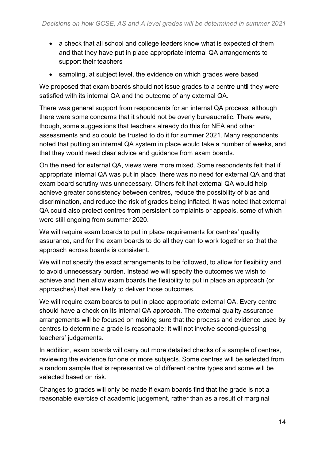- a check that all school and college leaders know what is expected of them and that they have put in place appropriate internal QA arrangements to support their teachers
- sampling, at subject level, the evidence on which grades were based

We proposed that exam boards should not issue grades to a centre until they were satisfied with its internal QA and the outcome of any external QA.

There was general support from respondents for an internal QA process, although there were some concerns that it should not be overly bureaucratic. There were, though, some suggestions that teachers already do this for NEA and other assessments and so could be trusted to do it for summer 2021. Many respondents noted that putting an internal QA system in place would take a number of weeks, and that they would need clear advice and guidance from exam boards.

On the need for external QA, views were more mixed. Some respondents felt that if appropriate internal QA was put in place, there was no need for external QA and that exam board scrutiny was unnecessary. Others felt that external QA would help achieve greater consistency between centres, reduce the possibility of bias and discrimination, and reduce the risk of grades being inflated. It was noted that external QA could also protect centres from persistent complaints or appeals, some of which were still ongoing from summer 2020.

We will require exam boards to put in place requirements for centres' quality assurance, and for the exam boards to do all they can to work together so that the approach across boards is consistent.

We will not specify the exact arrangements to be followed, to allow for flexibility and to avoid unnecessary burden. Instead we will specify the outcomes we wish to achieve and then allow exam boards the flexibility to put in place an approach (or approaches) that are likely to deliver those outcomes.

We will require exam boards to put in place appropriate external QA. Every centre should have a check on its internal QA approach. The external quality assurance arrangements will be focused on making sure that the process and evidence used by centres to determine a grade is reasonable; it will not involve second-guessing teachers' judgements.

In addition, exam boards will carry out more detailed checks of a sample of centres, reviewing the evidence for one or more subjects. Some centres will be selected from a random sample that is representative of different centre types and some will be selected based on risk.

Changes to grades will only be made if exam boards find that the grade is not a reasonable exercise of academic judgement, rather than as a result of marginal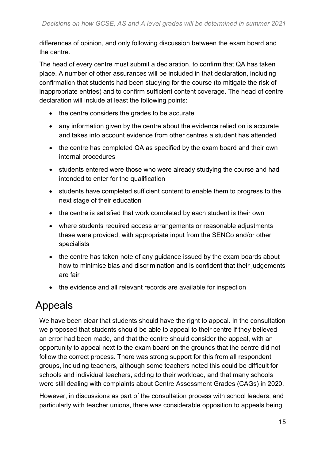differences of opinion, and only following discussion between the exam board and the centre.

The head of every centre must submit a declaration, to confirm that QA has taken place. A number of other assurances will be included in that declaration, including confirmation that students had been studying for the course (to mitigate the risk of inappropriate entries) and to confirm sufficient content coverage. The head of centre declaration will include at least the following points:

- the centre considers the grades to be accurate
- any information given by the centre about the evidence relied on is accurate and takes into account evidence from other centres a student has attended
- the centre has completed QA as specified by the exam board and their own internal procedures
- students entered were those who were already studying the course and had intended to enter for the qualification
- students have completed sufficient content to enable them to progress to the next stage of their education
- the centre is satisfied that work completed by each student is their own
- where students required access arrangements or reasonable adjustments these were provided, with appropriate input from the SENCo and/or other specialists
- the centre has taken note of any guidance issued by the exam boards about how to minimise bias and discrimination and is confident that their judgements are fair
- the evidence and all relevant records are available for inspection

#### <span id="page-14-0"></span>Appeals

We have been clear that students should have the right to appeal. In the consultation we proposed that students should be able to appeal to their centre if they believed an error had been made, and that the centre should consider the appeal, with an opportunity to appeal next to the exam board on the grounds that the centre did not follow the correct process. There was strong support for this from all respondent groups, including teachers, although some teachers noted this could be difficult for schools and individual teachers, adding to their workload, and that many schools were still dealing with complaints about Centre Assessment Grades (CAGs) in 2020.

However, in discussions as part of the consultation process with school leaders, and particularly with teacher unions, there was considerable opposition to appeals being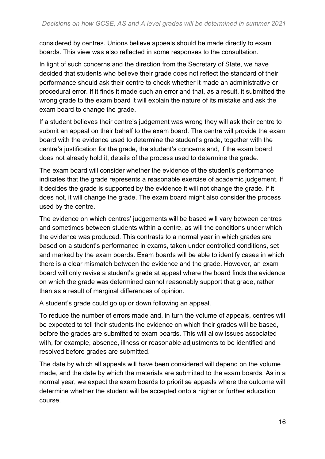considered by centres. Unions believe appeals should be made directly to exam boards. This view was also reflected in some responses to the consultation.

In light of such concerns and the direction from the Secretary of State, we have decided that students who believe their grade does not reflect the standard of their performance should ask their centre to check whether it made an administrative or procedural error. If it finds it made such an error and that, as a result, it submitted the wrong grade to the exam board it will explain the nature of its mistake and ask the exam board to change the grade.

If a student believes their centre's judgement was wrong they will ask their centre to submit an appeal on their behalf to the exam board. The centre will provide the exam board with the evidence used to determine the student's grade, together with the centre's justification for the grade, the student's concerns and, if the exam board does not already hold it, details of the process used to determine the grade.

The exam board will consider whether the evidence of the student's performance indicates that the grade represents a reasonable exercise of academic judgement. If it decides the grade is supported by the evidence it will not change the grade. If it does not, it will change the grade. The exam board might also consider the process used by the centre.

The evidence on which centres' judgements will be based will vary between centres and sometimes between students within a centre, as will the conditions under which the evidence was produced. This contrasts to a normal year in which grades are based on a student's performance in exams, taken under controlled conditions, set and marked by the exam boards. Exam boards will be able to identify cases in which there is a clear mismatch between the evidence and the grade. However, an exam board will only revise a student's grade at appeal where the board finds the evidence on which the grade was determined cannot reasonably support that grade, rather than as a result of marginal differences of opinion.

A student's grade could go up or down following an appeal.

To reduce the number of errors made and, in turn the volume of appeals, centres will be expected to tell their students the evidence on which their grades will be based, before the grades are submitted to exam boards. This will allow issues associated with, for example, absence, illness or reasonable adjustments to be identified and resolved before grades are submitted.

The date by which all appeals will have been considered will depend on the volume made, and the date by which the materials are submitted to the exam boards. As in a normal year, we expect the exam boards to prioritise appeals where the outcome will determine whether the student will be accepted onto a higher or further education course.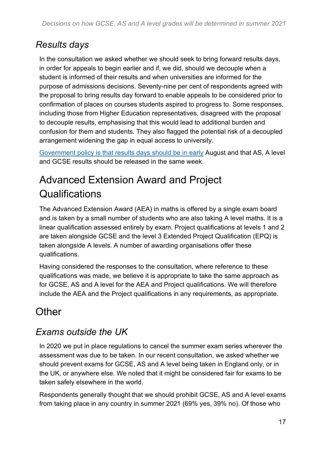#### *Results days*

In the consultation we asked whether we should seek to bring forward results days, in order for appeals to begin earlier and if, we did, should we decouple when a student is informed of their results and when universities are informed for the purpose of admissions decisions. Seventy-nine per cent of respondents agreed with the proposal to bring results day forward to enable appeals to be considered prior to confirmation of places on courses students aspired to progress to. Some responses, including those from Higher Education representatives, disagreed with the proposal to decouple results, emphasising that this would lead to additional burden and confusion for them and students. They also flagged the potential risk of a decoupled arrangement widening the gap in equal access to university.

[Government](https://www.gov.uk/government/publications/direction-issued-to-ofqual) policy is that results days should be in early August and that AS, A level and GCSE results should be released in the same week.

## <span id="page-16-0"></span>Advanced Extension Award and Project **Qualifications**

The Advanced Extension Award (AEA) in maths is offered by a single exam board and is taken by a small number of students who are also taking A level maths. It is a linear qualification assessed entirely by exam. Project qualifications at levels 1 and 2 are taken alongside GCSE and the level 3 Extended Project Qualification (EPQ) is taken alongside A levels. A number of awarding organisations offer these qualifications.

Having considered the responses to the consultation, where reference to these qualifications was made, we believe it is appropriate to take the same approach as for GCSE, AS and A level for the AEA and Project qualifications. We will therefore include the AEA and the Project qualifications in any requirements, as appropriate.

### <span id="page-16-1"></span>**Other**

#### *Exams outside the UK*

In 2020 we put in place regulations to cancel the summer exam series wherever the assessment was due to be taken. In our recent consultation, we asked whether we should prevent exams for GCSE, AS and A level being taken in England only, or in the UK, or anywhere else. We noted that it might be considered fair for exams to be taken safely elsewhere in the world.

Respondents generally thought that we should prohibit GCSE, AS and A level exams from taking place in any country in summer 2021 (69% yes, 39% no). Of those who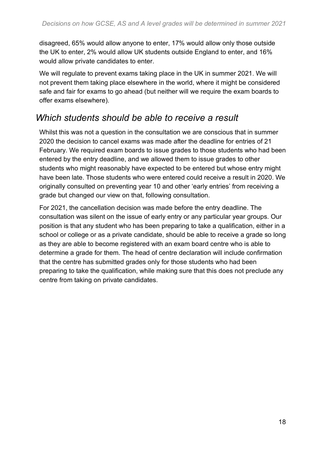disagreed, 65% would allow anyone to enter, 17% would allow only those outside the UK to enter, 2% would allow UK students outside England to enter, and 16% would allow private candidates to enter.

We will regulate to prevent exams taking place in the UK in summer 2021. We will not prevent them taking place elsewhere in the world, where it might be considered safe and fair for exams to go ahead (but neither will we require the exam boards to offer exams elsewhere).

#### *Which students should be able to receive a result*

Whilst this was not a question in the consultation we are conscious that in summer 2020 the decision to cancel exams was made after the deadline for entries of 21 February. We required exam boards to issue grades to those students who had been entered by the entry deadline, and we allowed them to issue grades to other students who might reasonably have expected to be entered but whose entry might have been late. Those students who were entered could receive a result in 2020. We originally consulted on preventing year 10 and other 'early entries' from receiving a grade but changed our view on that, following consultation.

For 2021, the cancellation decision was made before the entry deadline. The consultation was silent on the issue of early entry or any particular year groups. Our position is that any student who has been preparing to take a qualification, either in a school or college or as a private candidate, should be able to receive a grade so long as they are able to become registered with an exam board centre who is able to determine a grade for them. The head of centre declaration will include confirmation that the centre has submitted grades only for those students who had been preparing to take the qualification, while making sure that this does not preclude any centre from taking on private candidates.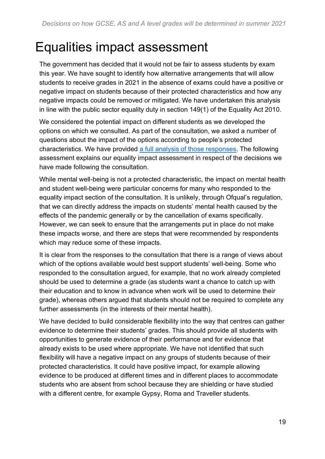## <span id="page-18-0"></span>Equalities impact assessment

The government has decided that it would not be fair to assess students by exam this year. We have sought to identify how alternative arrangements that will allow students to receive grades in 2021 in the absence of exams could have a positive or negative impact on students because of their protected characteristics and how any negative impacts could be removed or mitigated. We have undertaken this analysis in line with the public sector equality duty in section 149(1) of the Equality Act 2010.

We considered the potential impact on different students as we developed the options on which we consulted. As part of the consultation, we asked a number of questions about the impact of the options according to people's protected characteristics. We have provided a full analysis of those [responses.](https://www.gov.uk/government/consultations/consultation-on-how-gcse-as-and-a-level-grades-should-be-awarded-in-summer-2021) The following assessment explains our equality impact assessment in respect of the decisions we have made following the consultation.

While mental well-being is not a protected characteristic, the impact on mental health and student well-being were particular concerns for many who responded to the equality impact section of the consultation. It is unlikely, through Ofqual's regulation, that we can directly address the impacts on students' mental health caused by the effects of the pandemic generally or by the cancellation of exams specifically. However, we can seek to ensure that the arrangements put in place do not make these impacts worse, and there are steps that were recommended by respondents which may reduce some of these impacts.

It is clear from the responses to the consultation that there is a range of views about which of the options available would best support students' well-being. Some who responded to the consultation argued, for example, that no work already completed should be used to determine a grade (as students want a chance to catch up with their education and to know in advance when work will be used to determine their grade), whereas others argued that students should not be required to complete any further assessments (in the interests of their mental health).

We have decided to build considerable flexibility into the way that centres can gather evidence to determine their students' grades. This should provide all students with opportunities to generate evidence of their performance and for evidence that already exists to be used where appropriate. We have not identified that such flexibility will have a negative impact on any groups of students because of their protected characteristics. It could have positive impact, for example allowing evidence to be produced at different times and in different places to accommodate students who are absent from school because they are shielding or have studied with a different centre, for example Gypsy, Roma and Traveller students.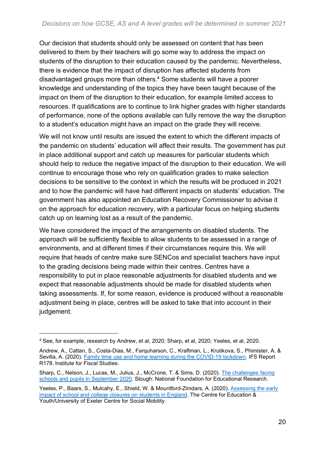Our decision that students should only be assessed on content that has been delivered to them by their teachers will go some way to address the impact on students of the disruption to their education caused by the pandemic. Nevertheless, there is evidence that the impact of disruption has affected students from disadvantaged groups more than others.<sup>4</sup> Some students will have a poorer knowledge and understanding of the topics they have been taught because of the impact on them of the disruption to their education, for example limited access to resources. If qualifications are to continue to link higher grades with higher standards of performance, none of the options available can fully remove the way the disruption to a student's education might have an impact on the grade they will receive.

We will not know until results are issued the extent to which the different impacts of the pandemic on students' education will affect their results. The government has put in place additional support and catch up measures for particular students which should help to reduce the negative impact of the disruption to their education. We will continue to encourage those who rely on qualification grades to make selection decisions to be sensitive to the context in which the results will be produced in 2021 and to how the pandemic will have had different impacts on students' education. The government has also appointed an Education Recovery Commissioner to advise it on the approach for education recovery, with a particular focus on helping students catch up on learning lost as a result of the pandemic.

We have considered the impact of the arrangements on disabled students. The approach will be sufficiently flexible to allow students to be assessed in a range of environments, and at different times if their circumstances require this. We will require that heads of centre make sure SENCos and specialist teachers have input to the grading decisions being made within their centres. Centres have a responsibility to put in place reasonable adjustments for disabled students and we expect that reasonable adjustments should be made for disabled students when taking assessments. If, for some reason, evidence is produced without a reasonable adjustment being in place, centres will be asked to take that into account in their judgement.

<sup>4</sup> See, for example, research by Andrew, et al, 2020; Sharp, et al, 2020; Yeeles, et al, 2020.

Andrew, A., Cattan, S., Costa-Dias, M., Farquharson, C., Kraftman, L., Krutikova, S., Phimister, A. & Sevilla, A. (2020). Family time use and home learning during the [COVID-19](https://www.ifs.org.uk/publications/15038) lockdown. IFS Report R178. lnstitute for Fiscal Studies.

Sharp, C., Nelson, J., Lucas, M., Julius, J., McCrone, T. & Sims, D. (2020). The [challenges](https://www.nfer.ac.uk/schools-responses-to-covid-19-the-challenges-facing-schools-and-pupils-in-september-2020/) facing schools and pupils in [September](https://www.nfer.ac.uk/schools-responses-to-covid-19-the-challenges-facing-schools-and-pupils-in-september-2020/) 2020. Slough: National Foundation for Educational Research.

Yeeles, P., Baars, S., Mulcahy, E., Shield, W. & Mountford-Zimdars, A. (2020). [Assessing](https://cfey.org/reports/2020/06/assessing-the-early-impact-of-school-and-college-closures-on-students-in-england/) the early impact of school and college closures on students in [England.](https://cfey.org/reports/2020/06/assessing-the-early-impact-of-school-and-college-closures-on-students-in-england/) The Centre for Education & Youth/University of Exeter Centre for Social Mobility.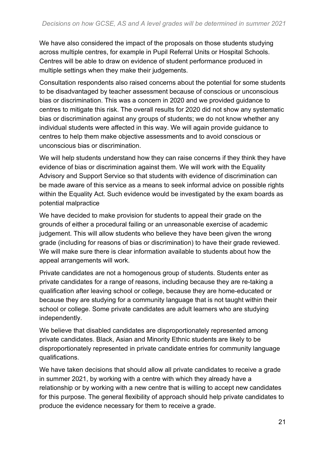We have also considered the impact of the proposals on those students studying across multiple centres, for example in Pupil Referral Units or Hospital Schools. Centres will be able to draw on evidence of student performance produced in multiple settings when they make their judgements.

Consultation respondents also raised concerns about the potential for some students to be disadvantaged by teacher assessment because of conscious or unconscious bias or discrimination. This was a concern in 2020 and we provided guidance to centres to mitigate this risk. The overall results for 2020 did not show any systematic bias or discrimination against any groups of students; we do not know whether any individual students were affected in this way. We will again provide guidance to centres to help them make objective assessments and to avoid conscious or unconscious bias or discrimination.

We will help students understand how they can raise concerns if they think they have evidence of bias or discrimination against them. We will work with the Equality Advisory and Support Service so that students with evidence of discrimination can be made aware of this service as a means to seek informal advice on possible rights within the Equality Act. Such evidence would be investigated by the exam boards as potential malpractice

We have decided to make provision for students to appeal their grade on the grounds of either a procedural failing or an unreasonable exercise of academic judgement. This will allow students who believe they have been given the wrong grade (including for reasons of bias or discrimination) to have their grade reviewed. We will make sure there is clear information available to students about how the appeal arrangements will work.

Private candidates are not a homogenous group of students. Students enter as private candidates for a range of reasons, including because they are re-taking a qualification after leaving school or college, because they are home-educated or because they are studying for a community language that is not taught within their school or college. Some private candidates are adult learners who are studying independently.

We believe that disabled candidates are disproportionately represented among private candidates. Black, Asian and Minority Ethnic students are likely to be disproportionately represented in private candidate entries for community language qualifications.

We have taken decisions that should allow all private candidates to receive a grade in summer 2021, by working with a centre with which they already have a relationship or by working with a new centre that is willing to accept new candidates for this purpose. The general flexibility of approach should help private candidates to produce the evidence necessary for them to receive a grade.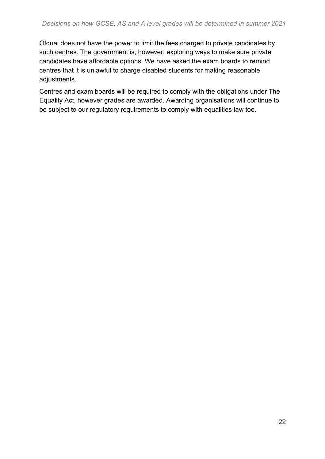Ofqual does not have the power to limit the fees charged to private candidates by such centres. The government is, however, exploring ways to make sure private candidates have affordable options. We have asked the exam boards to remind centres that it is unlawful to charge disabled students for making reasonable adjustments.

Centres and exam boards will be required to comply with the obligations under The Equality Act, however grades are awarded. Awarding organisations will continue to be subject to our regulatory requirements to comply with equalities law too.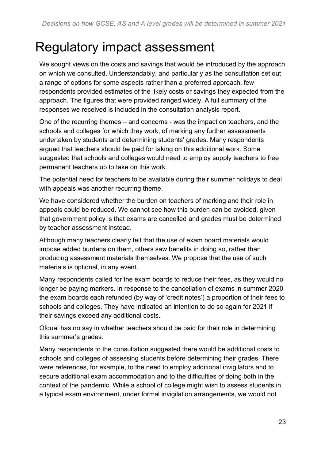## <span id="page-22-0"></span>Regulatory impact assessment

We sought views on the costs and savings that would be introduced by the approach on which we consulted. Understandably, and particularly as the consultation set out a range of options for some aspects rather than a preferred approach, few respondents provided estimates of the likely costs or savings they expected from the approach. The figures that were provided ranged widely. A full summary of the responses we received is included in the consultation analysis report.

One of the recurring themes – and concerns - was the impact on teachers, and the schools and colleges for which they work, of marking any further assessments undertaken by students and determining students' grades. Many respondents argued that teachers should be paid for taking on this additional work. Some suggested that schools and colleges would need to employ supply teachers to free permanent teachers up to take on this work.

The potential need for teachers to be available during their summer holidays to deal with appeals was another recurring theme.

We have considered whether the burden on teachers of marking and their role in appeals could be reduced. We cannot see how this burden can be avoided, given that government policy is that exams are cancelled and grades must be determined by teacher assessment instead.

Although many teachers clearly felt that the use of exam board materials would impose added burdens on them, others saw benefits in doing so, rather than producing assessment materials themselves. We propose that the use of such materials is optional, in any event.

Many respondents called for the exam boards to reduce their fees, as they would no longer be paying markers. In response to the cancellation of exams in summer 2020 the exam boards each refunded (by way of 'credit notes') a proportion of their fees to schools and colleges. They have indicated an intention to do so again for 2021 if their savings exceed any additional costs.

Ofqual has no say in whether teachers should be paid for their role in determining this summer's grades.

Many respondents to the consultation suggested there would be additional costs to schools and colleges of assessing students before determining their grades. There were references, for example, to the need to employ additional invigilators and to secure additional exam accommodation and to the difficulties of doing both in the context of the pandemic. While a school of college might wish to assess students in a typical exam environment, under formal invigilation arrangements, we would not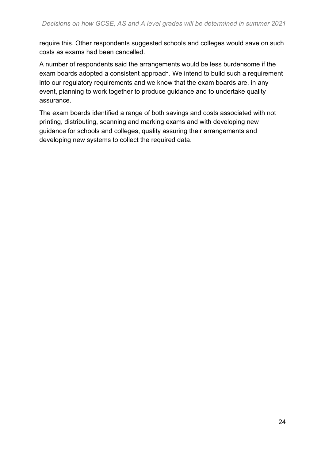require this. Other respondents suggested schools and colleges would save on such costs as exams had been cancelled.

A number of respondents said the arrangements would be less burdensome if the exam boards adopted a consistent approach. We intend to build such a requirement into our regulatory requirements and we know that the exam boards are, in any event, planning to work together to produce guidance and to undertake quality assurance.

The exam boards identified a range of both savings and costs associated with not printing, distributing, scanning and marking exams and with developing new guidance for schools and colleges, quality assuring their arrangements and developing new systems to collect the required data.